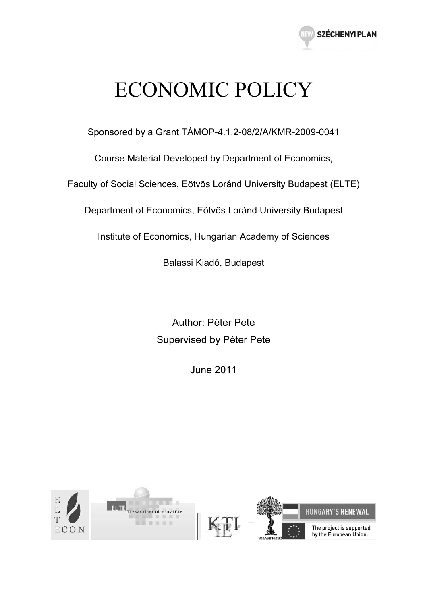

# ECONOMIC POLICY

Sponsored by a Grant TÁMOP-4.1.2-08/2/A/KMR-2009-0041

Course Material Developed by Department of Economics,

Faculty of Social Sciences, Eötvös Loránd University Budapest (ELTE)

Department of Economics, Eötvös Loránd University Budapest

Institute of Economics, Hungarian Academy of Sciences

Balassi Kiadó, Budapest

Author: Péter Pete Supervised by Péter Pete

June 2011

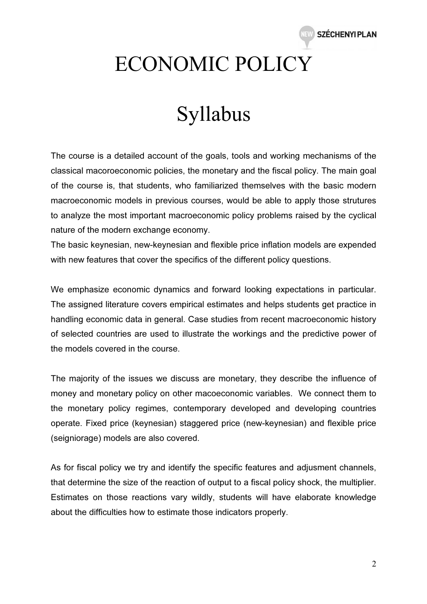

# ECONOMIC POLICY

## Syllabus

The course is a detailed account of the goals, tools and working mechanisms of the classical macoroeconomic policies, the monetary and the fiscal policy. The main goal of the course is, that students, who familiarized themselves with the basic modern macroeconomic models in previous courses, would be able to apply those strutures to analyze the most important macroeconomic policy problems raised by the cyclical nature of the modern exchange economy.

The basic keynesian, new-keynesian and flexible price inflation models are expended with new features that cover the specifics of the different policy questions.

We emphasize economic dynamics and forward looking expectations in particular. The assigned literature covers empirical estimates and helps students get practice in handling economic data in general. Case studies from recent macroeconomic history of selected countries are used to illustrate the workings and the predictive power of the models covered in the course.

The majority of the issues we discuss are monetary, they describe the influence of money and monetary policy on other macoeconomic variables. We connect them to the monetary policy regimes, contemporary developed and developing countries operate. Fixed price (keynesian) staggered price (new-keynesian) and flexible price (seigniorage) models are also covered.

As for fiscal policy we try and identify the specific features and adjusment channels, that determine the size of the reaction of output to a fiscal policy shock, the multiplier. Estimates on those reactions vary wildly, students will have elaborate knowledge about the difficulties how to estimate those indicators properly.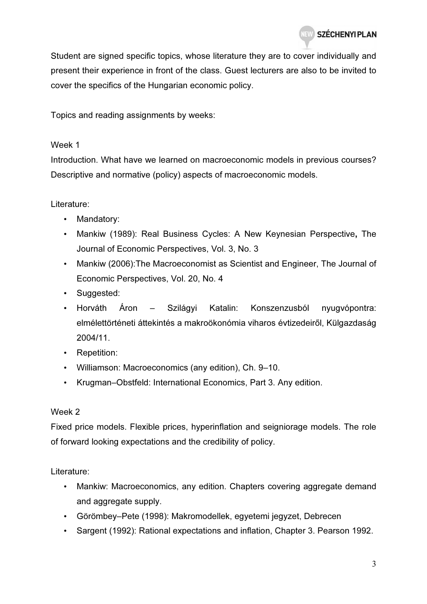Student are signed specific topics, whose literature they are to cover individually and present their experience in front of the class. Guest lecturers are also to be invited to cover the specifics of the Hungarian economic policy.

Topics and reading assignments by weeks:

#### Week 1

Introduction. What have we learned on macroeconomic models in previous courses? Descriptive and normative (policy) aspects of macroeconomic models.

#### Literature:

- Mandatory:
- Mankiw (1989): Real Business Cycles: A New Keynesian Perspective, The Journal of Economic Perspectives, Vol. 3, No. 3
- Mankiw (2006):The Macroeconomist as Scientist and Engineer, The Journal of Economic Perspectives, Vol. 20, No. 4
- Suggested:
- Horváth Áron Szilágyi Katalin: Konszenzusból nyugvópontra: elmélettörténeti áttekintés a makroökonómia viharos évtizedeiről, Külgazdaság 2004/11.
- Repetition:
- Williamson: Macroeconomics (any edition), Ch. 9–10.
- Krugman–Obstfeld: International Economics, Part 3. Any edition.

#### Week 2

Fixed price models. Flexible prices, hyperinflation and seigniorage models. The role of forward looking expectations and the credibility of policy.

Literature:

- Mankiw: Macroeconomics, any edition. Chapters covering aggregate demand and aggregate supply.
- Görömbey–Pete (1998): Makromodellek, egyetemi jegyzet, Debrecen
- Sargent (1992): Rational expectations and inflation, Chapter 3. Pearson 1992.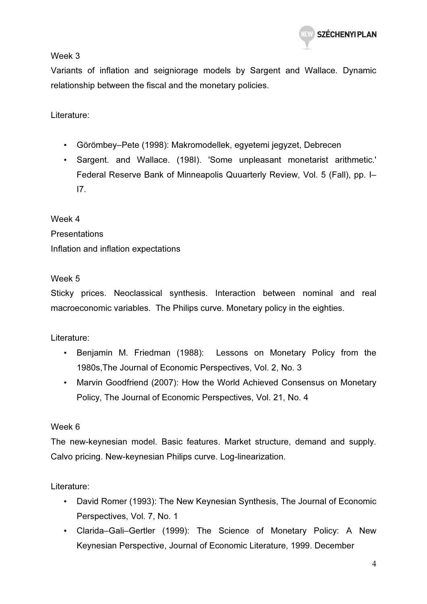Week 3

Variants of inflation and seigniorage models by Sargent and Wallace. Dynamic relationship between the fiscal and the monetary policies.

Literature:

- Görömbey–Pete (1998): Makromodellek, egyetemi jegyzet, Debrecen
- Sargent. and Wallace. (198I). 'Some unpleasant monetarist arithmetic.' Federal Reserve Bank of Minneapolis Quuarterly Review, Vol. 5 (Fall), pp. I– I7.

Week 4 **Presentations** Inflation and inflation expectations

## Week 5

Sticky prices. Neoclassical synthesis. Interaction between nominal and real macroeconomic variables. The Philips curve. Monetary policy in the eighties.

Literature:

- Benjamin M. Friedman (1988): Lessons on Monetary Policy from the 1980s,The Journal of Economic Perspectives, Vol. 2, No. 3
- Marvin Goodfriend (2007): How the World Achieved Consensus on Monetary Policy, The Journal of Economic Perspectives, Vol. 21, No. 4

## Week 6

The new-keynesian model. Basic features. Market structure, demand and supply. Calvo pricing. New-keynesian Philips curve. Log-linearization.

Literature:

- David Romer (1993): The New Keynesian Synthesis, The Journal of Economic Perspectives, Vol. 7, No. 1
- Clarida–Gali–Gertler (1999): The Science of Monetary Policy: A New Keynesian Perspective, Journal of Economic Literature, 1999. December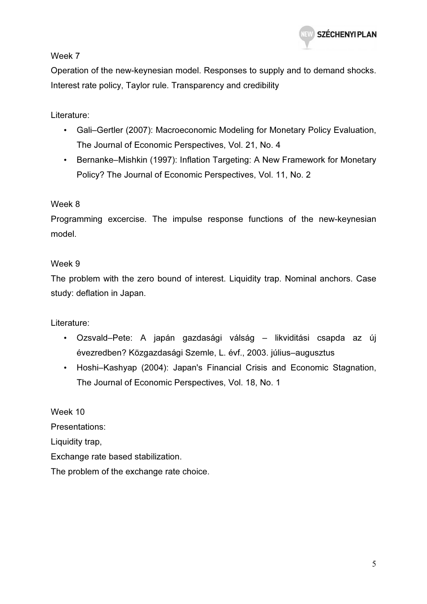

Week 7

Operation of the new-keynesian model. Responses to supply and to demand shocks. Interest rate policy, Taylor rule. Transparency and credibility

Literature:

- Gali–Gertler (2007): Macroeconomic Modeling for Monetary Policy Evaluation, The Journal of Economic Perspectives, Vol. 21, No. 4
- Bernanke–Mishkin (1997): Inflation Targeting: A New Framework for Monetary Policy? The Journal of Economic Perspectives, Vol. 11, No. 2

## Week 8

Programming excercise. The impulse response functions of the new-keynesian model.

## Week 9

The problem with the zero bound of interest. Liquidity trap. Nominal anchors. Case study: deflation in Japan.

Literature:

- Ozsvald–Pete: A japán gazdasági válság likviditási csapda az új évezredben? Közgazdasági Szemle, L. évf., 2003. július–augusztus
- Hoshi–Kashyap (2004): Japan's Financial Crisis and Economic Stagnation, The Journal of Economic Perspectives, Vol. 18, No. 1

Week 10 Presentations: Liquidity trap, Exchange rate based stabilization. The problem of the exchange rate choice.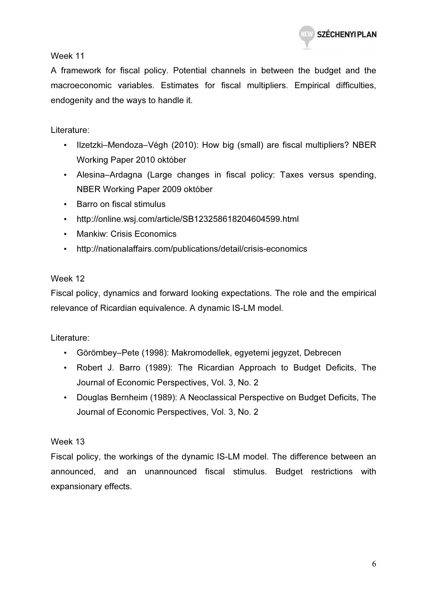

Week 11

A framework for fiscal policy. Potential channels in between the budget and the macroeconomic variables. Estimates for fiscal multipliers. Empirical difficulties, endogenity and the ways to handle it.

## Literature:

- Ilzetzki–Mendoza–Végh (2010): How big (small) are fiscal multipliers? NBER Working Paper 2010 október
- Alesina–Ardagna (Large changes in fiscal policy: Taxes versus spending, NBER Working Paper 2009 október
- Barro on fiscal stimulus
- http://online.wsj.com/article/SB123258618204604599.html
- Mankiw: Crisis Economics
- http://nationalaffairs.com/publications/detail/crisis-economics

## Week 12

Fiscal policy, dynamics and forward looking expectations. The role and the empirical relevance of Ricardian equivalence. A dynamic IS-LM model.

## Literature:

- Görömbey–Pete (1998): Makromodellek, egyetemi jegyzet, Debrecen
- Robert J. Barro (1989): The Ricardian Approach to Budget Deficits, The Journal of Economic Perspectives, Vol. 3, No. 2
- Douglas Bernheim (1989): A Neoclassical Perspective on Budget Deficits, The Journal of Economic Perspectives, Vol. 3, No. 2

## Week 13

Fiscal policy, the workings of the dynamic IS-LM model. The difference between an announced, and an unannounced fiscal stimulus. Budget restrictions with expansionary effects.